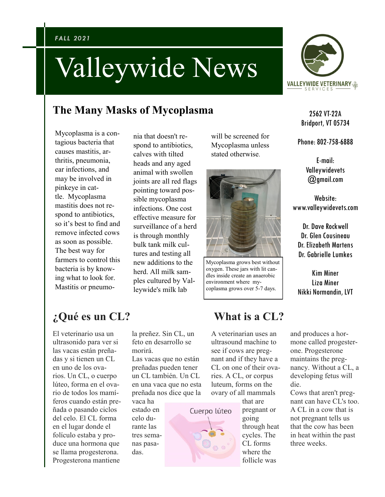# Valleywide News

### **The Many Masks of Mycoplasma**

Mycoplasma is a contagious bacteria that causes mastitis, arthritis, pneumonia, ear infections, and may be involved in pinkeye in cattle. Mycoplasma mastitis does not respond to antibiotics, so it's best to find and remove infected cows as soon as possible. The best way for farmers to control this bacteria is by knowing what to look for. Mastitis or pneumo-

nia that doesn't respond to antibiotics, calves with tilted heads and any aged animal with swollen joints are all red flags pointing toward possible mycoplasma infections. One cost effective measure for surveillance of a herd is through monthly bulk tank milk cultures and testing all new additions to the herd. All milk samples cultured by Valleywide's milk lab

will be screened for Mycoplasma unless stated otherwise.



Mycoplasma grows best without oxygen. These jars with lit candles inside create an anaerobic environment where mycoplasma grows over 5-7 days.

# **¿Qué es un CL?**

El veterinario usa un ultrasonido para ver si las vacas están preñadas y si tienen un CL en uno de los ovarios. Un CL, o cuerpo lúteo, forma en el ovario de todos los mamíferos cuando están preñada o pasando ciclos del celo. El CL forma en el lugar donde el folículo estaba y produce una hormona que se llama progesterona. Progesterona mantiene

la preñez. Sin CL, un feto en desarrollo se morirá.

Las vacas que no están preñadas pueden tener un CL también. Un CL en una vaca que no esta preñada nos dice que la

vaca ha estado en celo durante las tres semanas pasadas.

## **What is a CL?**

A veterinarian uses an ultrasound machine to see if cows are pregnant and if they have a CL on one of their ovaries. A CL, or corpus luteum, forms on the ovary of all mammals

Cuerpo lúteo

that are pregnant or going through heat cycles. The CL forms where the follicle was



2562 VT-22A Bridport, VT 05734

Phone: 802-758-6888

E-mail: Valleywidevets @gmail.com

Website: www.valleywidevets.com

Dr. Dave Rockwell Dr. Glen Cousineau Dr. Elizabeth Martens Dr. Gabrielle Lumkes

Kim Miner Liza Miner Nikki Normandin, LVT

and produces a hormone called progesterone. Progesterone maintains the pregnancy. Without a CL, a developing fetus will die.

Cows that aren't pregnant can have CL's too. A CL in a cow that is not pregnant tells us that the cow has been in heat within the past three weeks.